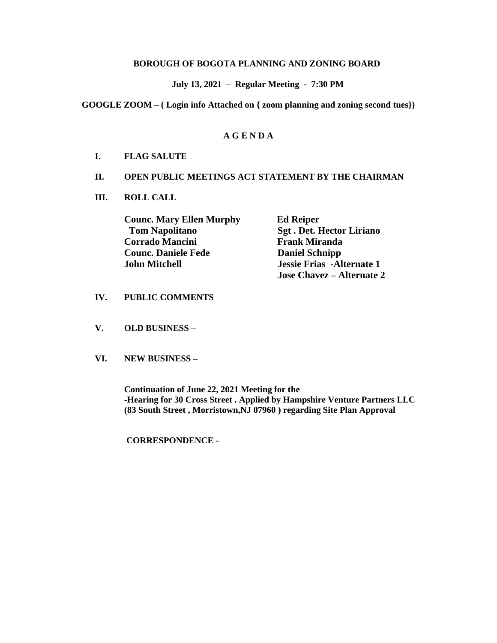#### **BOROUGH OF BOGOTA PLANNING AND ZONING BOARD**

 **July 13, 2021 – Regular Meeting - 7:30 PM**

**GOOGLE ZOOM – ( Login info Attached on { zoom planning and zoning second tues})**

# **A G E N D A**

## **I. FLAG SALUTE**

#### **II. OPEN PUBLIC MEETINGS ACT STATEMENT BY THE CHAIRMAN**

**III. ROLL CALL**

**Counc. Mary Ellen Murphy Ed Reiper Tom Napolitano Sgt . Det. Hector Liriano Corrado Mancini Frank Miranda Counc. Daniele Fede** Daniel Schnipp **John Mitchell Jessie Frias -Alternate 1** 

**Jose Chavez – Alternate 2**

## **IV. PUBLIC COMMENTS**

- **V. OLD BUSINESS –**
- **VI. NEW BUSINESS –**

**Continuation of June 22, 2021 Meeting for the -Hearing for 30 Cross Street . Applied by Hampshire Venture Partners LLC (83 South Street , Morristown,NJ 07960 ) regarding Site Plan Approval**

**CORRESPONDENCE -**